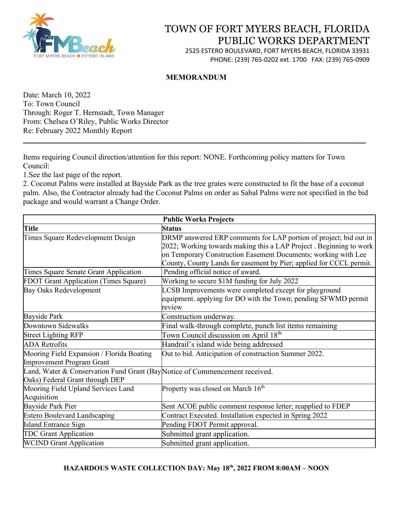

# TOWN OF FORT MYERS BEACH, FLORIDA PUBLIC WORKS DEPARTMENT

2525 ESTERO BOULEVARD, FORT MYERS BEACH, FLORIDA 33931 PHONE: (239) 765-0202 ext. 1700 FAX: (239) 765-0909

#### **MEMORANDUM**

Date: March 10, 2022 To: Town Council Through: Roger T. Hernstadt, Town Manager From: Chelsea O'Riley, Public Works Director Re: February 2022 Monthly Report

Items requiring Council direction/attention for this report: NONE. Forthcoming policy matters for Town Council:

1.See the last page of the report.

2. Coconut Palms were installed at Bayside Park as the tree grates were constructed to fit the base of a coconut palm. Also, the Contractor already had the Coconut Palms on order as Sabal Palms were not specified in the bid package and would warrant a Change Order.

\_\_\_\_\_\_\_\_\_\_\_\_\_\_\_\_\_\_\_\_\_\_\_\_\_\_\_\_\_\_\_\_\_\_\_\_\_\_\_\_\_\_\_\_\_\_\_\_\_\_\_\_\_\_\_\_\_\_\_\_\_\_\_\_\_\_\_\_\_\_\_\_ \_\_\_\_

| <b>Public Works Projects</b>                                                                                   |                                                                                                                                                                                                           |
|----------------------------------------------------------------------------------------------------------------|-----------------------------------------------------------------------------------------------------------------------------------------------------------------------------------------------------------|
| <b>Title</b>                                                                                                   | <b>Status</b>                                                                                                                                                                                             |
| Times Square Redevelopment Design                                                                              | DRMP answered ERP comments for LAP portion of project; bid out in<br>2022; Working towards making this a LAP Project. Beginning to work<br>on Temporary Construction Easement Documents; working with Lee |
|                                                                                                                | County, County Lands for easement by Pier; applied for CCCL permit.                                                                                                                                       |
| Times Square Senate Grant Application                                                                          | Pending official notice of award.                                                                                                                                                                         |
| <b>FDOT Grant Application (Times Square)</b>                                                                   | Working to secure \$1M funding for July 2022                                                                                                                                                              |
| Bay Oaks Redevelopment                                                                                         | LCSB Improvements were completed except for playground<br>equipment. applying for DO with the Town; pending SFWMD permit<br>review                                                                        |
| <b>Bayside Park</b>                                                                                            | Construction underway.                                                                                                                                                                                    |
| Downtown Sidewalks                                                                                             | Final walk-through complete, punch list items remaining                                                                                                                                                   |
| <b>Street Lighting RFP</b>                                                                                     | Town Council discussion on April 18 <sup>th</sup>                                                                                                                                                         |
| <b>ADA</b> Retrofits                                                                                           | Handrail's island wide being addressed                                                                                                                                                                    |
| Mooring Field Expansion / Florida Boating<br><b>Improvement Program Grant</b>                                  | Out to bid. Anticipation of construction Summer 2022.                                                                                                                                                     |
| Land, Water & Conservation Fund Grant (Bay Notice of Commencement received.<br>Oaks) Federal Grant through DEP |                                                                                                                                                                                                           |
| Mooring Field Upland Services Land<br>Acquisition                                                              | Property was closed on March $16th$                                                                                                                                                                       |
| <b>Bayside Park Pier</b>                                                                                       | Sent ACOE public comment response letter; reapplied to FDEP                                                                                                                                               |
| <b>Estero Boulevard Landscaping</b>                                                                            | Contract Executed. Installation expected in Spring 2022                                                                                                                                                   |
| <b>Island Entrance Sign</b>                                                                                    | Pending FDOT Permit approval.                                                                                                                                                                             |
| <b>TDC Grant Application</b>                                                                                   | Submitted grant application.                                                                                                                                                                              |
| <b>WCIND Grant Application</b>                                                                                 | Submitted grant application.                                                                                                                                                                              |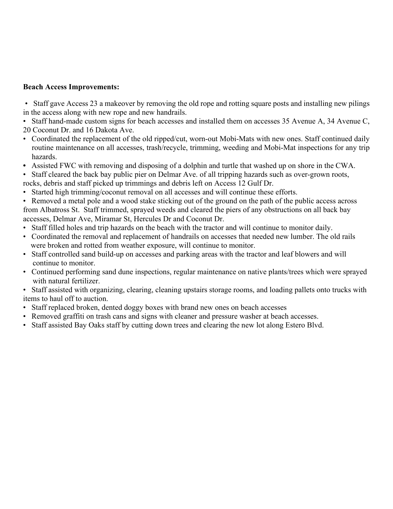#### **Beach Access Improvements:**

• Staff gave Access 23 a makeover by removing the old rope and rotting square posts and installing new pilings in the access along with new rope and new handrails.

• Staff hand-made custom signs for beach accesses and installed them on accesses 35 Avenue A, 34 Avenue C, 20 Coconut Dr. and 16 Dakota Ave.

- Coordinated the replacement of the old ripped/cut, worn-out Mobi-Mats with new ones. Staff continued daily routine maintenance on all accesses, trash/recycle, trimming, weeding and Mobi-Mat inspections for any trip hazards.
- Assisted FWC with removing and disposing of a dolphin and turtle that washed up on shore in the CWA.
- Staff cleared the back bay public pier on Delmar Ave. of all tripping hazards such as over-grown roots, rocks, debris and staff picked up trimmings and debris left on Access 12 Gulf Dr.
- Started high trimming/coconut removal on all accesses and will continue these efforts.
- Removed a metal pole and a wood stake sticking out of the ground on the path of the public access across from Albatross St. Staff trimmed, sprayed weeds and cleared the piers of any obstructions on all back bay accesses, Delmar Ave, Miramar St, Hercules Dr and Coconut Dr.
- Staff filled holes and trip hazards on the beach with the tractor and will continue to monitor daily.
- Coordinated the removal and replacement of handrails on accesses that needed new lumber. The old rails were broken and rotted from weather exposure, will continue to monitor.
- Staff controlled sand build-up on accesses and parking areas with the tractor and leaf blowers and will continue to monitor.
- Continued performing sand dune inspections, regular maintenance on native plants/trees which were sprayed with natural fertilizer.
- Staff assisted with organizing, clearing, cleaning upstairs storage rooms, and loading pallets onto trucks with items to haul off to auction.
- Staff replaced broken, dented doggy boxes with brand new ones on beach accesses
- Removed graffiti on trash cans and signs with cleaner and pressure washer at beach accesses.
- Staff assisted Bay Oaks staff by cutting down trees and clearing the new lot along Estero Blvd.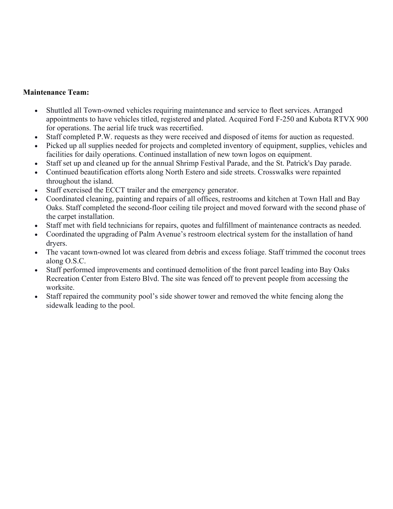#### **Maintenance Team:**

- Shuttled all Town-owned vehicles requiring maintenance and service to fleet services. Arranged appointments to have vehicles titled, registered and plated. Acquired Ford F-250 and Kubota RTVX 900 for operations. The aerial life truck was recertified.
- Staff completed P.W. requests as they were received and disposed of items for auction as requested.
- Picked up all supplies needed for projects and completed inventory of equipment, supplies, vehicles and facilities for daily operations. Continued installation of new town logos on equipment.
- Staff set up and cleaned up for the annual Shrimp Festival Parade, and the St. Patrick's Day parade.
- Continued beautification efforts along North Estero and side streets. Crosswalks were repainted throughout the island.
- Staff exercised the ECCT trailer and the emergency generator.
- Coordinated cleaning, painting and repairs of all offices, restrooms and kitchen at Town Hall and Bay Oaks. Staff completed the second-floor ceiling tile project and moved forward with the second phase of the carpet installation.
- Staff met with field technicians for repairs, quotes and fulfillment of maintenance contracts as needed.
- Coordinated the upgrading of Palm Avenue's restroom electrical system for the installation of hand dryers.
- The vacant town-owned lot was cleared from debris and excess foliage. Staff trimmed the coconut trees along O.S.C.
- Staff performed improvements and continued demolition of the front parcel leading into Bay Oaks Recreation Center from Estero Blvd. The site was fenced off to prevent people from accessing the worksite.
- Staff repaired the community pool's side shower tower and removed the white fencing along the sidewalk leading to the pool.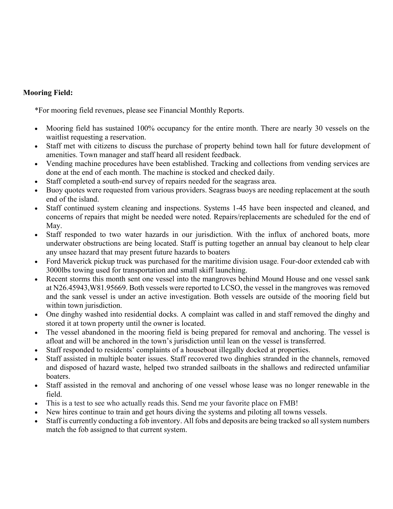### **Mooring Field:**

\*For mooring field revenues, please see Financial Monthly Reports.

- Mooring field has sustained 100% occupancy for the entire month. There are nearly 30 vessels on the waitlist requesting a reservation.
- Staff met with citizens to discuss the purchase of property behind town hall for future development of amenities. Town manager and staff heard all resident feedback.
- Vending machine procedures have been established. Tracking and collections from vending services are done at the end of each month. The machine is stocked and checked daily.
- Staff completed a south-end survey of repairs needed for the seagrass area.
- Buoy quotes were requested from various providers. Seagrass buoys are needing replacement at the south end of the island.
- Staff continued system cleaning and inspections. Systems 1-45 have been inspected and cleaned, and concerns of repairs that might be needed were noted. Repairs/replacements are scheduled for the end of May.
- Staff responded to two water hazards in our jurisdiction. With the influx of anchored boats, more underwater obstructions are being located. Staff is putting together an annual bay cleanout to help clear any unsee hazard that may present future hazards to boaters
- Ford Maverick pickup truck was purchased for the maritime division usage. Four-door extended cab with 3000lbs towing used for transportation and small skiff launching.
- Recent storms this month sent one vessel into the mangroves behind Mound House and one vessel sank at N26.45943,W81.95669. Both vessels were reported to LCSO, the vessel in the mangroves was removed and the sank vessel is under an active investigation. Both vessels are outside of the mooring field but within town jurisdiction.
- One dinghy washed into residential docks. A complaint was called in and staff removed the dinghy and stored it at town property until the owner is located.
- The vessel abandoned in the mooring field is being prepared for removal and anchoring. The vessel is afloat and will be anchored in the town's jurisdiction until lean on the vessel is transferred.
- Staff responded to residents' complaints of a houseboat illegally docked at properties.
- Staff assisted in multiple boater issues. Staff recovered two dinghies stranded in the channels, removed and disposed of hazard waste, helped two stranded sailboats in the shallows and redirected unfamiliar boaters.
- Staff assisted in the removal and anchoring of one vessel whose lease was no longer renewable in the field.
- This is a test to see who actually reads this. Send me your favorite place on FMB!
- New hires continue to train and get hours diving the systems and piloting all towns vessels.
- Staff is currently conducting a fob inventory. All fobs and deposits are being tracked so all system numbers match the fob assigned to that current system.